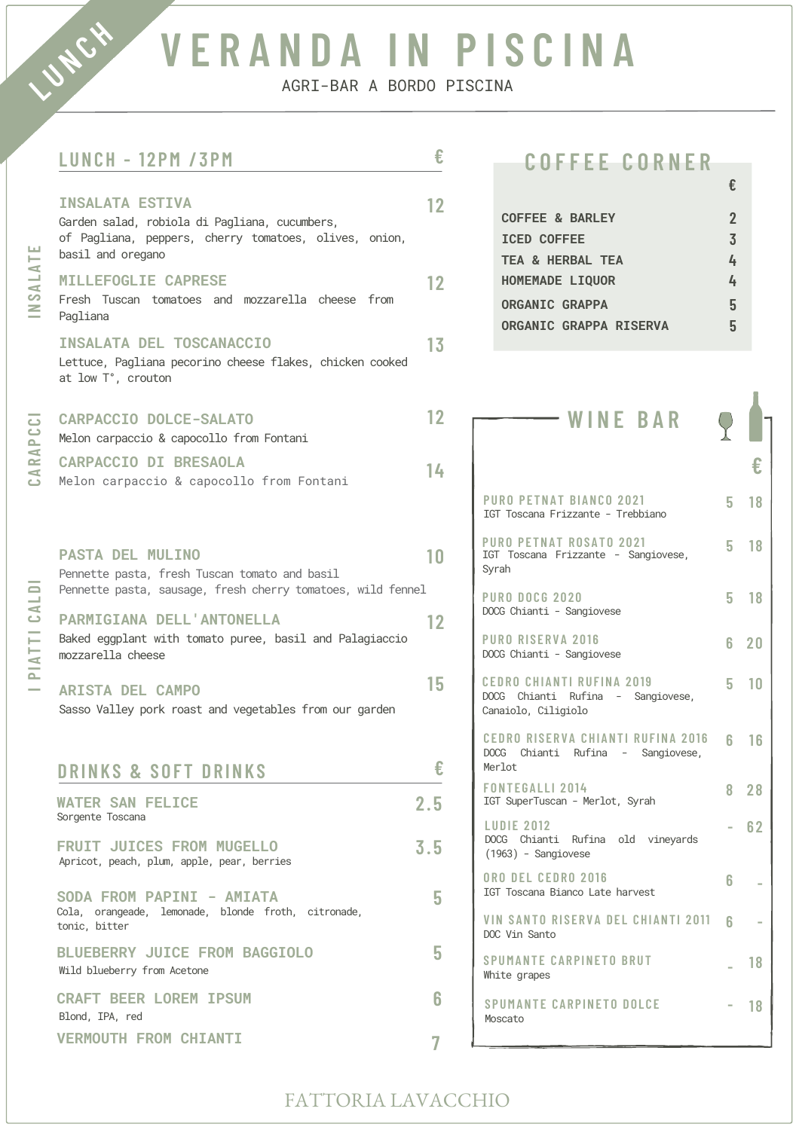# **V E R A N D A I N P I S C I N A**

AGRI-BAR A BORDO PISCINA

**€**

## **LUNCH - 1 2 PM / 3 PM**

**LUNCH** 

| INSALATE                                 | <b>INSALATA ESTIVA</b><br>Garden salad, robiola di Pagliana, cucumbers,<br>of Pagliana, peppers, cherry tomatoes, olives, onion,<br>basil and oregano                    | 12  |                                            | C<br>I.<br>T                  |
|------------------------------------------|--------------------------------------------------------------------------------------------------------------------------------------------------------------------------|-----|--------------------------------------------|-------------------------------|
|                                          | <b>MILLEFOGLIE CAPRESE</b><br>Fresh Tuscan tomatoes and mozzarella cheese from<br>Pagliana                                                                               | 12  |                                            | н<br>$\mathbf{O}$<br>$\bf{0}$ |
|                                          | <b>INSALATA DEL TOSCANACCIO</b><br>Lettuce, Pagliana pecorino cheese flakes, chicken cooked<br>at low T°, crouton                                                        | 13  |                                            |                               |
| CARAPCCI                                 | <b>CARPACCIO DOLCE-SALATO</b><br>Melon carpaccio & capocollo from Fontani                                                                                                | 12  |                                            |                               |
|                                          | <b>CARPACCIO DI BRESAOLA</b><br>Melon carpaccio & capocollo from Fontani                                                                                                 | 14  | <b>PURC</b><br>IGT T                       |                               |
| PIATTI CALDI<br>$\overline{\phantom{a}}$ | <b>PASTA DEL MULINO</b><br>Pennette pasta, fresh Tuscan tomato and basil                                                                                                 | 10  | PURC<br><b>IGT</b><br>Syrah                |                               |
|                                          | Pennette pasta, sausage, fresh cherry tomatoes, wild fennel<br>PARMIGIANA DELL'ANTONELLA<br>Baked eggplant with tomato puree, basil and Palagiaccio<br>mozzarella cheese | 12  | PURC<br>DOCG<br><b>PURC</b><br><b>DOCG</b> |                               |
|                                          | <b>ARISTA DEL CAMPO</b><br>Sasso Valley pork roast and vegetables from our garden                                                                                        | 15  | <b>CEDR</b><br><b>DOCG</b><br>Canai        |                               |
|                                          | <b>DRINKS &amp; SOFT DRINKS</b>                                                                                                                                          |     | <b>CEDF</b><br>DOCG<br>Merlo               |                               |
|                                          | <b>WATER SAN FELICE</b><br>Sorgente Toscana                                                                                                                              | 2.5 | <b>FON1</b><br>IGT S<br><b>LUDI</b>        |                               |
|                                          | <b>FRUIT JUICES FROM MUGELLO</b><br>Apricot, peach, plum, apple, pear, berries                                                                                           | 3.5 |                                            | <b>DOCG</b><br>(1963)         |
|                                          | SODA FROM PAPINI - AMIATA<br>Cola, orangeade, lemonade, blonde froth, citronade,<br>tonic, bitter                                                                        | 5   | 0 R O<br>IGT T<br>VIN:<br>DOC V            |                               |
|                                          | BLUEBERRY JUICE FROM BAGGIOLO<br>Wild blueberry from Acetone                                                                                                             | 5   | <b>SPUI</b><br>White                       |                               |
|                                          | <b>CRAFT BEER LOREM IPSUM</b><br>Blond, IPA, red                                                                                                                         | 6   |                                            | <b>SPUI</b><br>Mosca          |
|                                          | <b>VERMOUTH FROM CHIANTI</b>                                                                                                                                             |     |                                            |                               |

## **C O F F E E C O R N E R**

| <b>COFFEE &amp; BARLEY</b>    |    |
|-------------------------------|----|
| <b>ICED COFFEE</b>            | 3  |
| TEA & HERBAL TEA              |    |
| <b>HOMEMADE LIQUOR</b>        | 4  |
| <b>ORGANIC GRAPPA</b>         | 5  |
| <b>ORGANIC GRAPPA RISERVA</b> | ۱٦ |
|                               |    |

| WINE BAR                                                                                |    |              |
|-----------------------------------------------------------------------------------------|----|--------------|
|                                                                                         |    |              |
| PURO PETNAT BIANCO 2021<br>IGT Toscana Frizzante - Trebbiano                            |    | 5 18         |
| PURO PETNAT ROSATO 2021<br>IGT Toscana Frizzante - Sangiovese,<br>Syrah                 |    | 5 18         |
| <b>PURO DOCG 2020</b><br>DOCG Chianti - Sangiovese                                      |    | 5 18         |
| <b>PURO RISERVA 2016</b><br>DOCG Chianti - Sangiovese                                   |    | 6 20         |
| CEDRO CHIANTI RUFINA 2019<br>DOCG Chianti Rufina - Sangiovese,<br>Canaiolo, Ciligiolo   |    | $5 \quad 10$ |
| <b>CEDRO RISERVA CHIANTI RUFINA 2016</b><br>DOCG Chianti Rufina - Sangiovese,<br>Merlot | 6. | 16           |
| <b>FONTEGALLI 2014</b><br>IGT SuperTuscan - Merlot, Syrah                               | 8  | 28           |
| <b>LUDIE 2012</b><br>DOCG Chianti Rufina old vineyards<br>$(1963)$ - Sangiovese         |    | 62           |
| ORO DEL CEDRO 2016<br>IGT Toscana Bianco Late harvest                                   | 6  |              |
| VIN SANTO RISERVA DEL CHIANTI 2011<br>DOC Vin Santo                                     | հ  |              |
| SPUMANTE CARPINETO BRUT<br>White grapes                                                 |    | 18           |
| SPUMANTE CARPINETO DOLCE<br>Moscato                                                     |    | 18           |